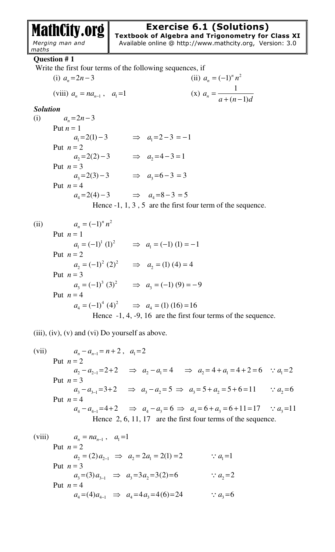MathCity.org  *Merging man and* 

## **Exercise 6.1 (Solutions)**

**Textbook of Algebra and Trigonometry for Class XI**  Available online @ http://www.mathcity.org, Version: 3.0

*maths*  **Question # 1** Write the first four terms of the following sequences, if (i)  $a_n = 2n - 3$  $a_n = 2n - 3$  (ii)  $a_n = (-1)^n n^2$ (viii)  $a_n = na_{n-1}$ ,  $a_1 = 1$ (x)  $a_n = \frac{1}{\sqrt{1 - \frac{1}{x_n}}}$  $n - a + (n-1)$ *a*  $a + (n-1)d$ =  $+(n -$ *Solution*  (i)  $a_n = 2n - 3$ Put  $n = 1$  $a_1 = 2(1) - 3$   $\implies a_1 = 2 - 3 = -1$ Put  $n = 2$  $a_2 = 2(2) - 3$   $\implies a_2 = 4 - 3 = 1$ Put  $n = 3$  $a_3 = 2(3) - 3$   $\implies a_3 = 6 - 3 = 3$ 

Put 
$$
n = 4
$$

$$
a_4 = 2(4) - 3
$$
  $\implies a_4 = 8 - 3 = 5$ 

Hence  $-1$ , 1, 3, 5 are the first four term of the sequence.

(ii)  $a_n = (-1)^n n^2$ Put  $n=1$  $1 \sqrt{1}$  $a_1 = (-1)^1 (1)^2 \implies a_1 = (-1) (1) = -1$ Put  $n = 2$ 2  $(2)^2$  $a_2 = (-1)^2 (2)^2 \implies a_2 = (1) (4) = 4$ Put  $n = 3$  $3(2)^2$  $a_3 = (-1)^3 (3)^2 \implies a_3 = (-1) (9) = -9$ Put  $n = 4$ 4  $(1)^2$  $a_4 = (-1)^4 (4)^2 \implies a_4 = (1) (16) = 16$ Hence  $-1$ , 4,  $-9$ , 16 are the first four terms of the sequence.

(iii), (iv), (v) and (vi) Do yourself as above*.*

(vii) 
$$
a_n - a_{n-1} = n + 2
$$
,  $a_1 = 2$   
\nPut  $n = 2$   
\n $a_2 - a_{2-1} = 2 + 2 \implies a_2 - a_1 = 4 \implies a_2 = 4 + a_1 = 4 + 2 = 6 \therefore a_1 = 2$   
\nPut  $n = 3$   
\n $a_3 - a_{3-1} = 3 + 2 \implies a_3 - a_2 = 5 \implies a_3 = 5 + a_2 = 5 + 6 = 11 \therefore a_2 = 6$   
\nPut  $n = 4$   
\n $a_4 - a_{4-1} = 4 + 2 \implies a_4 - a_3 = 6 \implies a_4 = 6 + a_3 = 6 + 11 = 17 \therefore a_3 = 11$   
\nHence 2, 6, 11, 17 are the first four terms of the sequence.

(viii) 
$$
a_n = na_{n-1}
$$
,  $a_1 = 1$   
\nPut  $n = 2$   
\n $a_2 = (2) a_{2-1} \implies a_2 = 2a_1 = 2(1) = 2$   $\therefore a_1 = 1$   
\nPut  $n = 3$   
\n $a_3 = (3) a_{3-1} \implies a_3 = 3a_2 = 3(2) = 6$   $\therefore a_2 = 2$   
\nPut  $n = 4$   
\n $a_4 = (4) a_{4-1} \implies a_4 = 4a_3 = 4(6) = 24$   $\therefore a_3 = 6$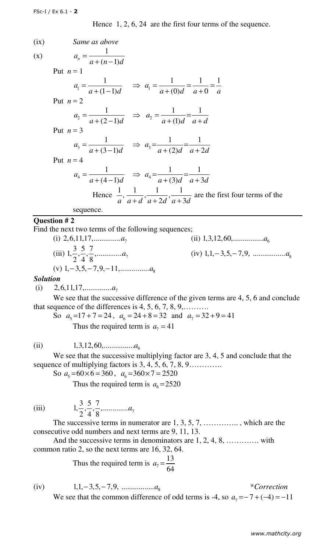Hence 1, 2, 6, 24 are the first four terms of the sequence.

| (ix) | Same as above                                                                                               |
|------|-------------------------------------------------------------------------------------------------------------|
| (x)  | $a_n = \frac{1}{a + (n-1)d}$                                                                                |
|      | Put $n=1$                                                                                                   |
|      | $a_1 = \frac{1}{a + (1-1)d}$ $\Rightarrow a_1 = \frac{1}{a + (0)d} = \frac{1}{a+0} = \frac{1}{a}$           |
|      | Put $n=2$                                                                                                   |
|      | $a_2 = \frac{1}{a + (2-1)d} \Rightarrow a_2 = \frac{1}{a + (1)d} = \frac{1}{a + d}$                         |
|      | Put $n=3$                                                                                                   |
|      | $a_3 = \frac{1}{a + (3-1)d} \Rightarrow a_3 = \frac{1}{a + (2)d} = \frac{1}{a + 2d}$                        |
|      | Put $n = 4$                                                                                                 |
|      | $a_4 = \frac{1}{a + (4-1)d} \Rightarrow a_4 = \frac{1}{a + (3)d} = \frac{1}{a + 3d}$                        |
|      | Hence $\frac{1}{a}$ , $\frac{1}{a+d}$ , $\frac{1}{a+2d}$ , $\frac{1}{a+3d}$ are the first four terms of the |
|      | sequence.                                                                                                   |

## **Question # 2**

Find the next two terms of the following sequences;

(i) 2,6,11,17,............  
\n(ii) 1,3,12,60,............  
\n(iii) 
$$
1, \frac{3}{2}, \frac{5}{4}, \frac{7}{8},............a_7
$$
  
\n(iv) 1,1,-3,5,-7,9,............  
\n(v) 1,-3,5,-7,9,-11,............  
\n(v) 1,0,0,............  
\n(v) 1,0,0,............  
\n(v) 1,0,0,............  
\n(v) 1,0,0,............  
\n(v) 1,0,0,............  
\n(v) 1,0,0,............  
\n(v) 1,0,0,............  
\n(v) 1,0,0,............  
\n(v) 1,0,0,............  
\n(v) 1,0,0,............  
\n(v) 1,0,0,............  
\n(v) 1,0,0,............  
\n(v) 1,0,0,............  
\n(v) 1,0,0,............  
\n(v) 1,0,0,............  
\n(v) 1,0,0,............  
\n(v) 1,0,0,............  
\n(v) 1,0,0,............  
\n(v) 1,0,0,............  
\n(v) 1,0,0,............  
\n(v) 1,0,0,............  
\n(v) 1,0,0,............  
\n(v) 1,0,0,............  
\n(v) 1,0,0,............  
\n(v) 1,0,0,............  
\n(v) 1,0,0,............  
\n(v) 1,0,0,............  
\n(v) 1,0,0,............  
\n(v) 1,0,0,............  
\n(v) 1,0,0,............  
\n(v) 1,0,0,............  
\n(v) 1,0,0,............  
\n(v) 1,0,0,............  
\n(v) 1,0,0,............  
\n(v) 1,0,0,............  
\n(v) 1,0,0,............  
\n(v) 1,0,0,............  
\n(v) 1,0,0,............  
\n(v) 1,0,0,............  
\n(v) 1,0,0,............  
\n(v) 1,0,0,............  
\n(v) 1,0,0,1,............  
\n(v) 1,0,0,1,........

## *Solution*

(i)  $2,6,11,17, \ldots, a_7$ 

We see that the successive difference of the given terms are 4, 5, 6 and conclude that sequence of the differences is 4, 5, 6, 7, 8, 9,……….

So  $a_5 = 17 + 7 = 24$ ,  $a_6 = 24 + 8 = 32$  and  $a_7 = 32 + 9 = 41$ Thus the required term is  $a_7 = 41$ 

(ii) <sup>6</sup> 1,3,12,60,................*a*

We see that the successive multiplying factor are 3, 4, 5 and conclude that the sequence of multiplying factors is 3, 4, 5, 6, 7, 8, 9…..........

So  $a_5 = 60 \times 6 = 360$ ,  $a_6 = 360 \times 7 = 2520$ 

Thus the required term is  $a_6 = 2520$ 

(iii) 
$$
1, \frac{3}{2}, \frac{5}{4}, \frac{7}{8}, \dots, a_7
$$

The successive terms in numerator are 1, 3, 5, 7, ..............., which are the consecutive odd numbers and next terms are 9, 11, 13.

And the successive terms in denominators are 1, 2, 4, 8, …………. with common ratio 2, so the next terms are 16, 32, 64.

> Thus the required term is  $a_7$ 13 64  $a_7 =$

(iv)  $1, 1, -3, 5, -7, 9, \dots, a_8$  \* Correction We see that the common difference of odd terms is -4, so  $a_7 = -7 + (-4) = -11$